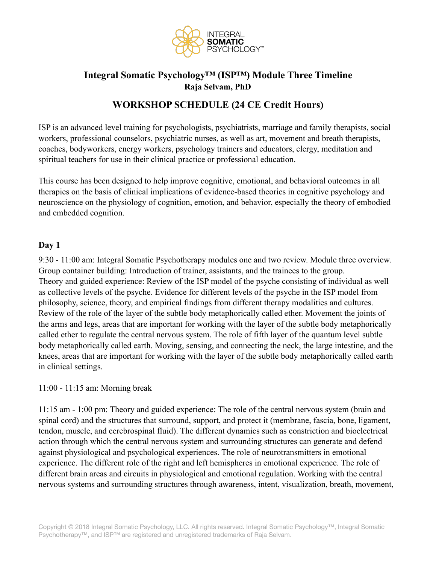

# **Integral Somatic Psychology™ (ISP™) Module Three Timeline Raja Selvam, PhD**

# **WORKSHOP SCHEDULE (24 CE Credit Hours)**

ISP is an advanced level training for psychologists, psychiatrists, marriage and family therapists, social workers, professional counselors, psychiatric nurses, as well as art, movement and breath therapists, coaches, bodyworkers, energy workers, psychology trainers and educators, clergy, meditation and spiritual teachers for use in their clinical practice or professional education.

This course has been designed to help improve cognitive, emotional, and behavioral outcomes in all therapies on the basis of clinical implications of evidence-based theories in cognitive psychology and neuroscience on the physiology of cognition, emotion, and behavior, especially the theory of embodied and embedded cognition.

### **Day 1**

9:30 - 11:00 am: Integral Somatic Psychotherapy modules one and two review. Module three overview. Group container building: Introduction of trainer, assistants, and the trainees to the group. Theory and guided experience: Review of the ISP model of the psyche consisting of individual as well as collective levels of the psyche. Evidence for different levels of the psyche in the ISP model from philosophy, science, theory, and empirical findings from different therapy modalities and cultures. Review of the role of the layer of the subtle body metaphorically called ether. Movement the joints of the arms and legs, areas that are important for working with the layer of the subtle body metaphorically called ether to regulate the central nervous system. The role of fifth layer of the quantum level subtle body metaphorically called earth. Moving, sensing, and connecting the neck, the large intestine, and the knees, areas that are important for working with the layer of the subtle body metaphorically called earth in clinical settings.

#### 11:00 - 11:15 am: Morning break

11:15 am - 1:00 pm: Theory and guided experience: The role of the central nervous system (brain and spinal cord) and the structures that surround, support, and protect it (membrane, fascia, bone, ligament, tendon, muscle, and cerebrospinal fluid). The different dynamics such as constriction and bioelectrical action through which the central nervous system and surrounding structures can generate and defend against physiological and psychological experiences. The role of neurotransmitters in emotional experience. The different role of the right and left hemispheres in emotional experience. The role of different brain areas and circuits in physiological and emotional regulation. Working with the central nervous systems and surrounding structures through awareness, intent, visualization, breath, movement,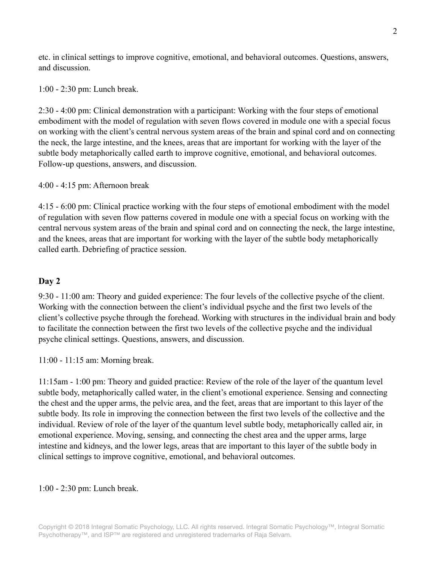etc. in clinical settings to improve cognitive, emotional, and behavioral outcomes. Questions, answers, and discussion.

1:00 - 2:30 pm: Lunch break.

2:30 - 4:00 pm: Clinical demonstration with a participant: Working with the four steps of emotional embodiment with the model of regulation with seven flows covered in module one with a special focus on working with the client's central nervous system areas of the brain and spinal cord and on connecting the neck, the large intestine, and the knees, areas that are important for working with the layer of the subtle body metaphorically called earth to improve cognitive, emotional, and behavioral outcomes. Follow-up questions, answers, and discussion.

4:00 - 4:15 pm: Afternoon break

4:15 - 6:00 pm: Clinical practice working with the four steps of emotional embodiment with the model of regulation with seven flow patterns covered in module one with a special focus on working with the central nervous system areas of the brain and spinal cord and on connecting the neck, the large intestine, and the knees, areas that are important for working with the layer of the subtle body metaphorically called earth. Debriefing of practice session.

#### **Day 2**

9:30 - 11:00 am: Theory and guided experience: The four levels of the collective psyche of the client. Working with the connection between the client's individual psyche and the first two levels of the client's collective psyche through the forehead. Working with structures in the individual brain and body to facilitate the connection between the first two levels of the collective psyche and the individual psyche clinical settings. Questions, answers, and discussion.

11:00 - 11:15 am: Morning break.

11:15am - 1:00 pm: Theory and guided practice: Review of the role of the layer of the quantum level subtle body, metaphorically called water, in the client's emotional experience. Sensing and connecting the chest and the upper arms, the pelvic area, and the feet, areas that are important to this layer of the subtle body. Its role in improving the connection between the first two levels of the collective and the individual. Review of role of the layer of the quantum level subtle body, metaphorically called air, in emotional experience. Moving, sensing, and connecting the chest area and the upper arms, large intestine and kidneys, and the lower legs, areas that are important to this layer of the subtle body in clinical settings to improve cognitive, emotional, and behavioral outcomes.

1:00 - 2:30 pm: Lunch break.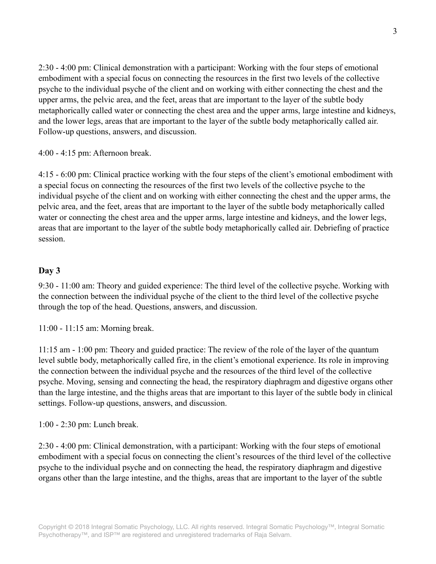2:30 - 4:00 pm: Clinical demonstration with a participant: Working with the four steps of emotional embodiment with a special focus on connecting the resources in the first two levels of the collective psyche to the individual psyche of the client and on working with either connecting the chest and the upper arms, the pelvic area, and the feet, areas that are important to the layer of the subtle body metaphorically called water or connecting the chest area and the upper arms, large intestine and kidneys, and the lower legs, areas that are important to the layer of the subtle body metaphorically called air. Follow-up questions, answers, and discussion.

4:00 - 4:15 pm: Afternoon break.

4:15 - 6:00 pm: Clinical practice working with the four steps of the client's emotional embodiment with a special focus on connecting the resources of the first two levels of the collective psyche to the individual psyche of the client and on working with either connecting the chest and the upper arms, the pelvic area, and the feet, areas that are important to the layer of the subtle body metaphorically called water or connecting the chest area and the upper arms, large intestine and kidneys, and the lower legs, areas that are important to the layer of the subtle body metaphorically called air. Debriefing of practice session.

### **Day 3**

9:30 - 11:00 am: Theory and guided experience: The third level of the collective psyche. Working with the connection between the individual psyche of the client to the third level of the collective psyche through the top of the head. Questions, answers, and discussion.

11:00 - 11:15 am: Morning break.

11:15 am - 1:00 pm: Theory and guided practice: The review of the role of the layer of the quantum level subtle body, metaphorically called fire, in the client's emotional experience. Its role in improving the connection between the individual psyche and the resources of the third level of the collective psyche. Moving, sensing and connecting the head, the respiratory diaphragm and digestive organs other than the large intestine, and the thighs areas that are important to this layer of the subtle body in clinical settings. Follow-up questions, answers, and discussion.

1:00 - 2:30 pm: Lunch break.

2:30 - 4:00 pm: Clinical demonstration, with a participant: Working with the four steps of emotional embodiment with a special focus on connecting the client's resources of the third level of the collective psyche to the individual psyche and on connecting the head, the respiratory diaphragm and digestive organs other than the large intestine, and the thighs, areas that are important to the layer of the subtle